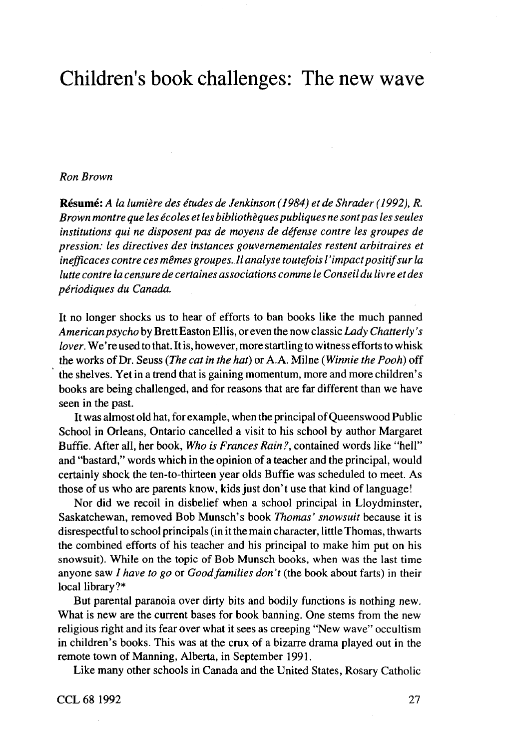## Children's book challenges: The new wave

## *Ron Brown*

**Resume:** A *la lumiere des etudes de Jenkinson (1984) et de Shrader (1992), R. Brown montre que les ecoles et les bibliotheques publiques ne sontpas les seules institutions qui ne disposent pas de moyens de defense contre les groupes de pression: les directives des instances gouvernementales restent arbitraires et inefficaces contre ces memes groupes. II analyse toutefois I ' impact positifsur la lutte contre la censure de certaines associations comme Ie Conseil du livre et des periodiques du Canada.*

It no longer shocks us to hear of efforts to ban books like the much panned *American psycho* by BrettEaston Ellis, or even the now classic *Lady Chatterly 's lover.* We're used to that. It is, however, more startling to witness efforts to whisk the works of Dr. Seuss *(The cat in the hat)* or A.A. Milne *(Winnie the Pooh)* off the shelves. Yet in a trend that is gaining momentum, more and more children's books are being challenged, and for reasons that are far different than we have seen in the past.

It was almost old hat, for example, when the principal of Queenswood Public School in Orleans, Ontario cancelled a visit to his school by author Margaret Buffie. After all, her book, *Who is Frances Rain?,* contained words like "hell" and "bastard," words which in the opinion of a teacher and the principal, would certainly shock the ten-to-thirteen year olds Buffie was scheduled to meet. As those of us who are parents know, kids just don't use that kind of language!

Nor did we recoil in disbelief when a school principal in Lloydminster, Saskatchewan, removed Bob Munsch's book *Thomas' snowsuit* because it is disrespectful to school principals (in it the main character, little Thomas, thwarts the combined efforts of his teacher and his principal to make him put on his snowsuit). While on the topic of Bob Munsch books, when was the last time anyone saw / *have to go or Good families don't* (the book about farts) in their local library?\*

But parental paranoia over dirty bits and bodily functions is nothing new. What is new are the current bases for book banning. One stems from the new religious right and its fear over what it sees as creeping "New wave" occultism in children's books. This was at the crux of a bizarre drama played out in the remote town of Manning, Alberta, in September 1991.

Like many other schools in Canada and the United States, Rosary Catholic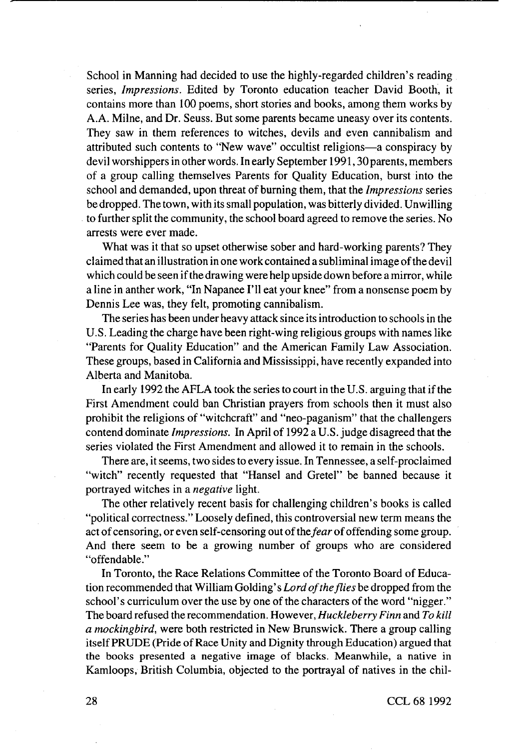School in Manning had decided to use the highly-regarded children's reading series, *Impressions.* Edited by Toronto education teacher David Booth, it contains more than 100 poems, short stories and books, among them works by A.A. Milne, and Dr. Seuss. But some parents became uneasy over its contents. They saw in them references to witches, devils and even cannibalism and attributed such contents to "New wave" occultist religions—a conspiracy by devil worshippers in other words. In early September 1991, 30 parents, members of a group calling themselves Parents for Quality Education, burst into the school and demanded, upon threat of burning them, that the *Impressions* series be dropped. The town, with its small population, was bitterly divided. Unwilling to further split the community, the school board agreed to remove the series. No arrests were ever made.

What was it that so upset otherwise sober and hard-working parents? They claimed that an illustration in one work contained a subliminal image of the devil which could be seen if the drawing were help upside down before a mirror, while a line in anther work, "In Napanee I'll eat your knee" from a nonsense poem by Dennis Lee was, they felt, promoting cannibalism.

The series has been under heavy attack since its introduction to schools in the U.S. Leading the charge have been right-wing religious groups with names like "Parents for Quality Education" and the American Family Law Association. These groups, based in California and Mississippi, have recently expanded into Alberta and Manitoba.

In early 1992 the AFLA took the series to court in the U.S. arguing that if the First Amendment could ban Christian prayers from schools then it must also prohibit the religions of "witchcraft" and "neo-paganism" that the challengers contend dominate *Impressions.* In April of 1992 a U.S. judge disagreed that the series violated the First Amendment and allowed it to remain in the schools.

There are, it seems, two sides to every issue. In Tennessee, a self-proclaimed "witch" recently requested that "Hansel and Gretel" be banned because it portrayed witches in a *negative* light.

The other relatively recent basis for challenging children's books is called "political correctness." Loosely defined, this controversial new term means the act of censoring, or even self-censoring out of the fear of offending some group. And there seem to be a growing number of groups who are considered "offendable."

In Toronto, the Race Relations Committee of the Toronto Board of Education recommended that William Golding' s *Lord of the flies* be dropped from the school's curriculum over the use by one of the characters of the word "nigger." The board refused the recommendation. However, *Huckleberry Finn* and *To kill a mockingbird,* were both restricted in New Brunswick. There a group calling itself PRUDE (Pride of **Race** Unity and Dignity through Education) argued that the books presented a negative image of blacks. Meanwhile, a native in Kamloops, British Columbia, objected to the portrayal of natives in the chil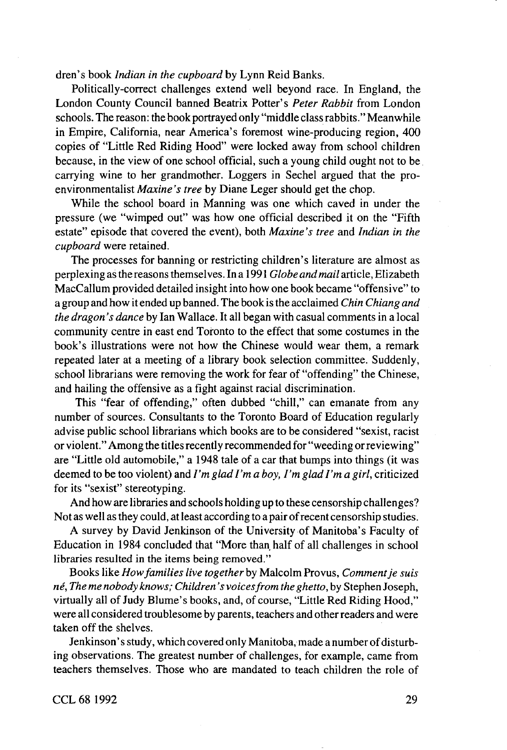dren's book *Indian in the cupboard* by Lynn Reid Banks.

Politically-correct challenges extend well beyond race. In England, the London County Council banned Beatrix Potter's *Peter Rabbit* from London schools. The reason: the book portrayed only "middle class rabbits." Meanwhile in Empire, California, near America's foremost wine-producing region, 400 copies of "Little Red Riding Hood" were locked away from school children because, in the view of one school official, such a young child ought not to be carrying wine to her grandmother. Loggers in Sechel argued that the proenvironmentalist *Maxine's tree* by Diane Leger should get the chop.

While the school board in Manning was one which caved in under the pressure (we "wimped out" was how one official described it on the "Fifth estate" episode that covered the event), both *Maxine's tree* and *Indian in the cupboard* were retained.

The processes for banning or restricting children's literature are almost as perplexing as the reasons themselves. In a 1991 *Globe and mail* article, Elizabeth MacCallum provided detailed insight into how one book became "offensive" to a group and how it ended up banned. The book is the acclaimed *Chin Chiang and the dragon's dance* by lan Wallace. It all began with casual comments in a local community centre in east end Toronto to the effect that some costumes in the book's illustrations were not how the Chinese would wear them, a remark repeated later at a meeting of a library book selection committee. Suddenly, school librarians were removing the work for fear of "offending" the Chinese, and hailing the offensive as a fight against racial discrimination.

This "fear of offending," often dubbed "chill," can emanate from any number of sources. Consultants to the Toronto Board of Education regularly advise public school librarians which books are to be considered "sexist, racist or violent." Among the titles recently recommended for "weeding or reviewing" are "Little old automobile," a 1948 tale of a car that bumps into things (it was deemed to be too violent) and *I' m glad I' m a boy, I' m glad I' m a girl,* criticized for its "sexist" stereotyping.

And how are libraries and schools holding up to these censorship challenges? Not as well as they could, at least according to a pair of recent censorship studies.

A survey by David Jenkinson of the University of Manitoba's Faculty of Education in 1984 concluded that "More than. half of all challenges in school libraries resulted in the items being removed."

Books like *How families live together by* Malcolm Provus, *Comment je suis ne, The me nobody knows; Children's voices from the ghetto,* by Stephen Joseph, virtually all of Judy Blume's books, and, of course, "Little Red Riding Hood," were all considered troublesome by parents, teachers and other readers and were taken off the shelves.

Jenkinson's study, which covered only Manitoba, made a number of disturbing observations. The greatest number of challenges, for example, came from teachers themselves. Those who are mandated to teach children the role of

CCL 68 1992 29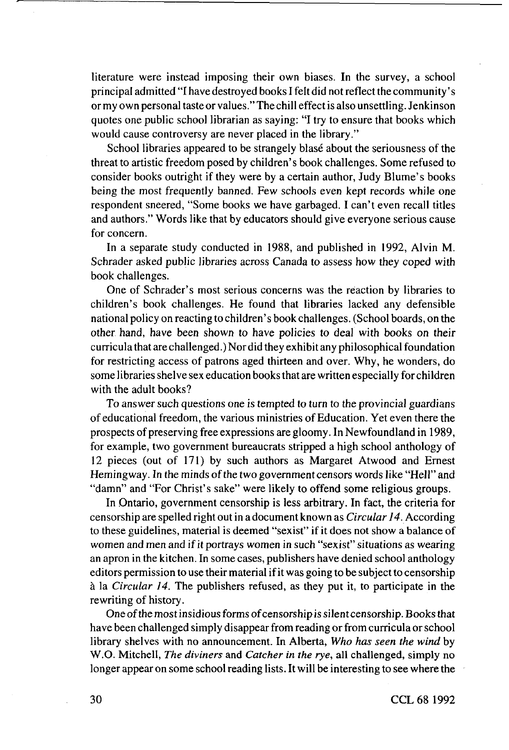literature were instead imposing their own biases. In the survey, a school principal admitted "I have destroyed books I felt did not reflect the community' s or my own personal taste or values." The chill effect is also unsettling. Jenkinson quotes one public school librarian as saying: "I try to ensure that books which would cause controversy are never placed in the library."

School libraries appeared to be strangely blase about the seriousness of the threat to artistic freedom posed by children's book challenges. Some refused to consider books outright if they were by a certain author, Judy Blume's books being the most frequently banned. Few schools even kept records while one respondent sneered, "Some books we have garbaged. I can't even recall titles and authors." Words like that by educators should give everyone serious cause for concern.

In a separate study conducted in 1988, and published in 1992, Alvin M. Schrader asked public libraries across Canada to assess how they coped with book challenges.

One of Schrader's most serious concerns was the reaction by libraries to children's book challenges. He found that libraries lacked any defensible national policy on reacting to children's book challenges. (School boards, on the other hand, have been shown to have policies to deal with books on their curricula that are challenged.) Nor did they exhibit any philosophical foundation for restricting access of patrons aged thirteen and over. Why, he wonders, do some libraries shelve sex education books that are written especially for children with the adult books?

To answer such questions one is tempted to turn to the provincial guardians of educational freedom, the various ministries of Education. Yet even there the prospects of preserving free expressions are gloomy. In Newfoundland in 1989, for example, two government bureaucrats stripped a high school anthology of 12 pieces (out of 171) by such authors as Margaret Atwood and Ernest Hemingway. In the minds of the two government censors words like "Hell" and "damn" and "For Christ's sake" were likely to offend some religious groups.

In Ontario, government censorship is less arbitrary. In fact, the criteria for censorship are spelled right out in a document known as *Circular 14.* According to these guidelines, material is deemed "sexist" if it does not show a balance of women and men and if it portrays women in such "sexist" situations as wearing an apron in the kitchen. In some cases, publishers have denied school anthology editors permission to use their material if it was going to be subject to censorship a la *Circular 14.* The publishers refused, as they put it, to participate in the rewriting of history.

One of the most insidious forms of censorship is silent censorship. Books that have been challenged simply disappear from reading or from curricula or school library shelves with no announcement. In Alberta, *Who has seen the wind* by W.O. Mitchell, *The diviners* and *Catcher in the rye,* all challenged, simply no longer appear on some school reading lists. It will be interesting to see where the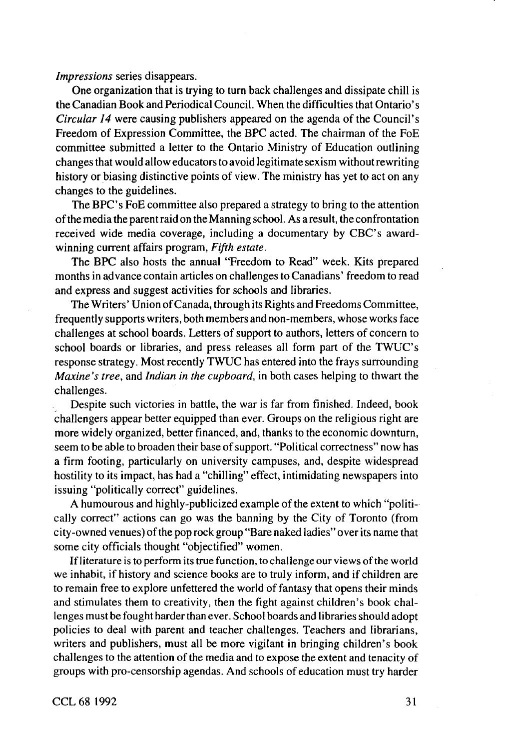*Impressions* series disappears.

One organization that is trying to turn back challenges and dissipate chill is the Canadian Book and Periodical Council. When the difficulties that Ontario's *Circular 14* were causing publishers appeared on the agenda of the Council's Freedom of Expression Committee, the BPC acted. The chairman of the FoE committee submitted a letter to the Ontario Ministry of Education outlining changes that would allow educators to avoid legitimate sexism without rewriting history or biasing distinctive points of view. The ministry has yet to act on any changes to the guidelines.

The **BPC's** FoE committee also prepared a strategy to bring to the attention of the media the parent raid on the Manning school. As a result, the confrontation received wide media coverage, including a documentary by CBC's awardwinning current affairs program, *Fifth estate.*

The BPC also hosts the annual "Freedom to Read" week. Kits prepared months in advance contain articles on challenges to Canadians' freedom to read and express and suggest activities for schools and libraries.

The Writers' Union of Canada, through its Rights and Freedoms Committee, frequently supports writers, both members and non-members, whose works face challenges at school boards. Letters of support to authors, letters of concern to school boards or libraries, and press releases all form part of the TWUC's response strategy. Most recently TWUC has entered into the frays surrounding *Maxine's tree,* and *Indian in the cupboard,* in both cases helping to thwart the challenges.

Despite such victories in battle, the war is far from finished. Indeed, book challengers appear better equipped than ever. Groups on the religious right are more widely organized, better financed, and, thanks to the economic downturn, seem to be able to broaden their base of support. "Political correctness" now has a firm footing, particularly on university campuses, and, despite widespread hostility to its impact, has had a "chilling" effect, intimidating newspapers into issuing "politically correct" guidelines.

A humourous and highly-publicized example of the extent to which "politically correct" actions can go was the banning by the City of Toronto (from city-owned venues) of the pop rock group "Bare naked ladies" over its name that some city officials thought "objectified" women.

If literature is to perform its true function, to challenge our views of the world we inhabit, if history and science books are to truly inform, and if children are to remain free to explore unfettered the world of fantasy that opens their minds and stimulates them to creativity, then the fight against children's book challenges must be fought harder than ever. School boards and libraries should adopt policies to deal with parent and teacher challenges. Teachers and librarians, writers and publishers, must all be more vigilant in bringing children's book challenges to the attention of the media and to expose the extent and tenacity of groups with pro-censorship agendas. And schools of education must try harder